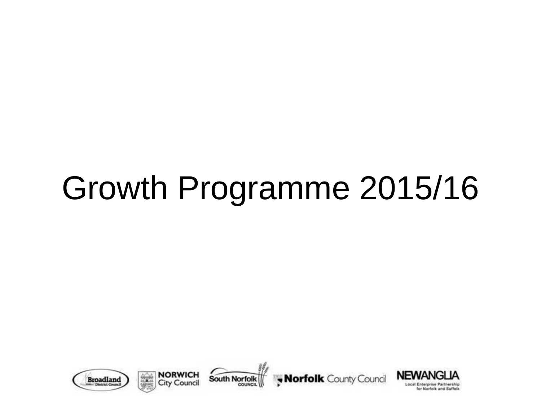## Growth Programme 2015/16









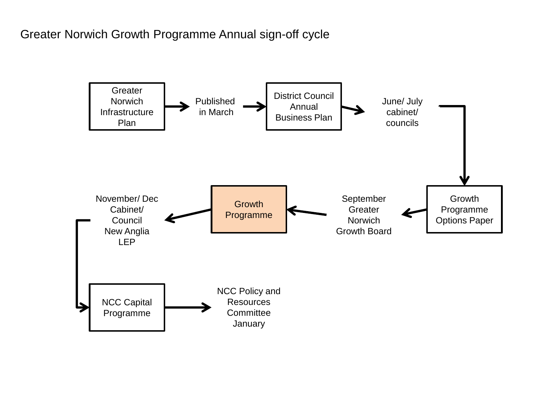## Greater Norwich Growth Programme Annual sign-off cycle

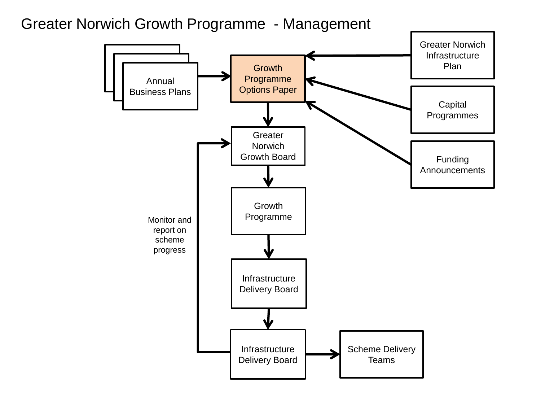Greater Norwich Growth Programme - Management